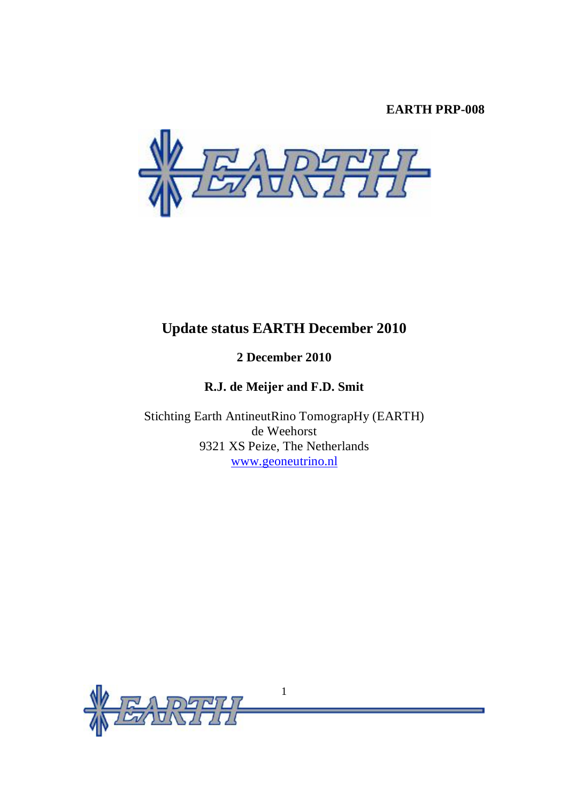# **EARTH PRP-008**



# **Update status EARTH December 2010**

# **2 December 2010**

# **R.J. de Meijer and F.D. Smit**

Stichting Earth AntineutRino TomograpHy (EARTH) de Weehorst 9321 XS Peize, The Netherlands [www.geoneutrino.nl](http://www.geoneutrino.nl)

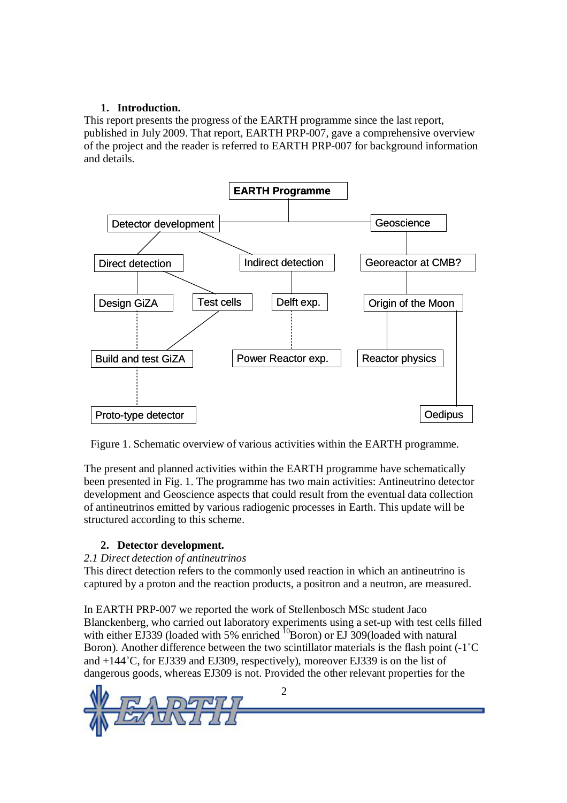# **1. Introduction.**

This report presents the progress of the EARTH programme since the last report, published in July 2009. That report, EARTH PRP-007, gave a comprehensive overview of the project and the reader is referred to EARTH PRP-007 for background information and details.



Figure 1. Schematic overview of various activities within the EARTH programme.

The present and planned activities within the EARTH programme have schematically been presented in Fig. 1. The programme has two main activities: Antineutrino detector development and Geoscience aspects that could result from the eventual data collection of antineutrinos emitted by various radiogenic processes in Earth. This update will be structured according to this scheme.

# **2. Detector development.**

# *2.1 Direct detection of antineutrinos*

This direct detection refers to the commonly used reaction in which an antineutrino is captured by a proton and the reaction products, a positron and a neutron, are measured.

In EARTH PRP-007 we reported the work of Stellenbosch MSc student Jaco Blanckenberg, who carried out laboratory experiments using a set-up with test cells filled with either EJ339 (loaded with 5% enriched  ${}^{10}$ Boron) or EJ 309 (loaded with natural Boron). Another difference between the two scintillator materials is the flash point (-1˚C and +144˚C, for EJ339 and EJ309, respectively), moreover EJ339 is on the list of dangerous goods, whereas EJ309 is not. Provided the other relevant properties for the

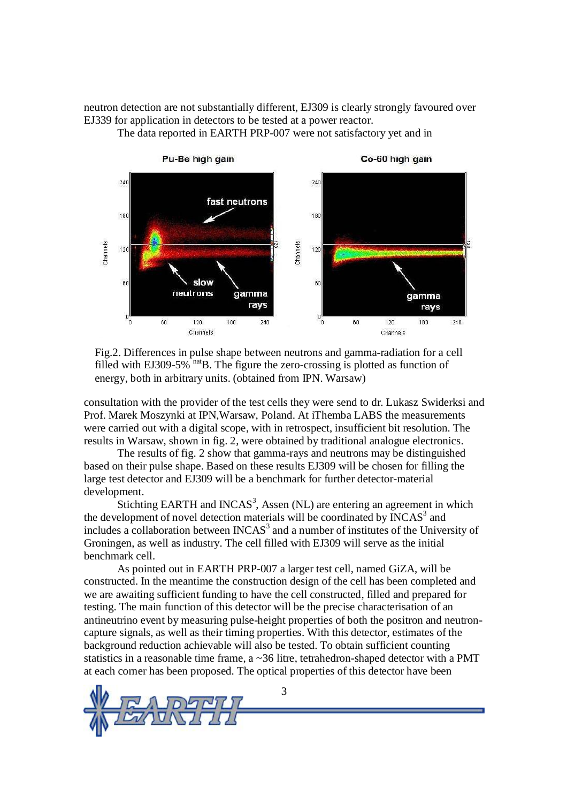neutron detection are not substantially different, EJ309 is clearly strongly favoured over EJ339 for application in detectors to be tested at a power reactor.



The data reported in EARTH PRP-007 were not satisfactory yet and in

Fig.2. Differences in pulse shape between neutrons and gamma-radiation for a cell filled with EJ309-5%  $\frac{na}{B}$ . The figure the zero-crossing is plotted as function of energy, both in arbitrary units. (obtained from IPN. Warsaw)

consultation with the provider of the test cells they were send to dr. Lukasz Swiderksi and Prof. Marek Moszynki at IPN,Warsaw, Poland. At iThemba LABS the measurements were carried out with a digital scope, with in retrospect, insufficient bit resolution. The results in Warsaw, shown in fig. 2, were obtained by traditional analogue electronics.

The results of fig. 2 show that gamma-rays and neutrons may be distinguished based on their pulse shape. Based on these results EJ309 will be chosen for filling the large test detector and EJ309 will be a benchmark for further detector-material development.

Stichting EARTH and INCAS<sup>3</sup>, Assen (NL) are entering an agreement in which the development of novel detection materials will be coordinated by  $INCAS^3$  and includes a collaboration between INCAS $3$  and a number of institutes of the University of Groningen, as well as industry. The cell filled with EJ309 will serve as the initial benchmark cell.

As pointed out in EARTH PRP-007 a larger test cell, named GiZA, will be constructed. In the meantime the construction design of the cell has been completed and we are awaiting sufficient funding to have the cell constructed, filled and prepared for testing. The main function of this detector will be the precise characterisation of an antineutrino event by measuring pulse-height properties of both the positron and neutroncapture signals, as well as their timing properties. With this detector, estimates of the background reduction achievable will also be tested. To obtain sufficient counting statistics in a reasonable time frame, a  $\sim$  36 litre, tetrahedron-shaped detector with a PMT at each corner has been proposed. The optical properties of this detector have been

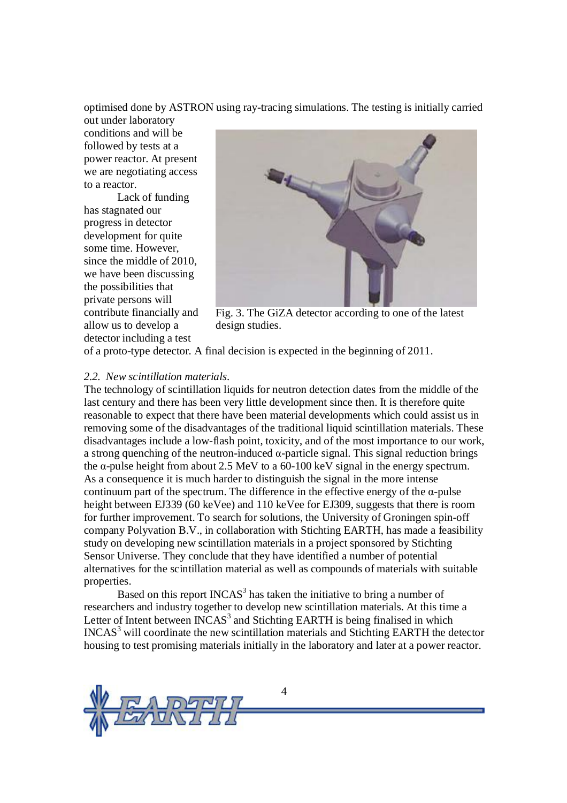optimised done by ASTRON using ray-tracing simulations. The testing is initially carried

out under laboratory conditions and will be followed by tests at a power reactor. At present we are negotiating access to a reactor.

Lack of funding has stagnated our progress in detector development for quite some time. However, since the middle of 2010, we have been discussing the possibilities that private persons will contribute financially and allow us to develop a detector including a test



Fig. 3. The GiZA detector according to one of the latest design studies.

of a proto-type detector. A final decision is expected in the beginning of 2011.

## *2.2. New scintillation materials.*

The technology of scintillation liquids for neutron detection dates from the middle of the last century and there has been very little development since then. It is therefore quite reasonable to expect that there have been material developments which could assist us in removing some of the disadvantages of the traditional liquid scintillation materials. These disadvantages include a low-flash point, toxicity, and of the most importance to our work, a strong quenching of the neutron-induced  $\alpha$ -particle signal. This signal reduction brings the  $\alpha$ -pulse height from about 2.5 MeV to a 60-100 keV signal in the energy spectrum. As a consequence it is much harder to distinguish the signal in the more intense continuum part of the spectrum. The difference in the effective energy of the  $\alpha$ -pulse height between EJ339 (60 keVee) and 110 keVee for EJ309, suggests that there is room for further improvement. To search for solutions, the University of Groningen spin-off company Polyvation B.V., in collaboration with Stichting EARTH, has made a feasibility study on developing new scintillation materials in a project sponsored by Stichting Sensor Universe. They conclude that they have identified a number of potential alternatives for the scintillation material as well as compounds of materials with suitable properties.

Based on this report  $INCAS^3$  has taken the initiative to bring a number of researchers and industry together to develop new scintillation materials. At this time a Letter of Intent between  $INCAS^3$  and Stichting EARTH is being finalised in which INCAS<sup>3</sup> will coordinate the new scintillation materials and Stichting EARTH the detector housing to test promising materials initially in the laboratory and later at a power reactor.

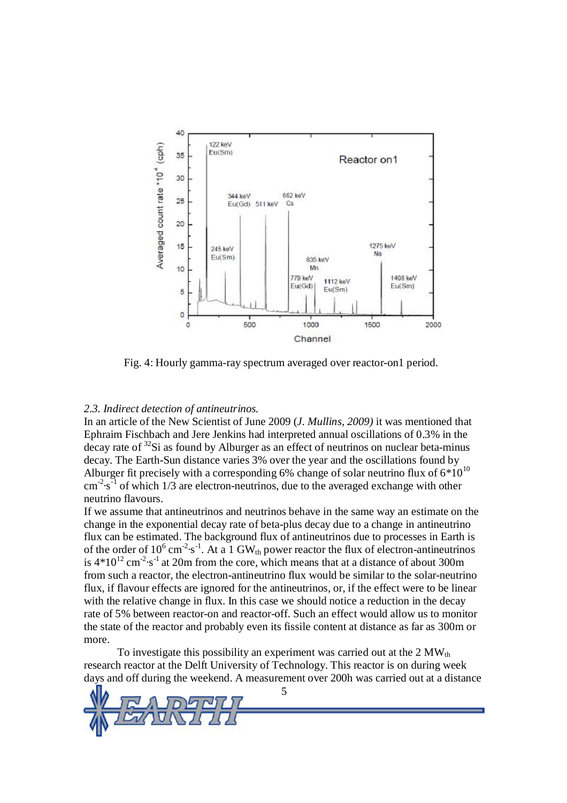

Fig. 4: Hourly gamma-ray spectrum averaged over reactor-on1 period.

#### *2.3. Indirect detection of antineutrinos.*

In an article of the New Scientist of June 2009 (*J. Mullins, 2009)* it was mentioned that Ephraim Fischbach and Jere Jenkins had interpreted annual oscillations of 0.3% in the decay rate of <sup>32</sup>Si as found by Alburger as an effect of neutrinos on nuclear beta-minus decay. The Earth-Sun distance varies 3% over the year and the oscillations found by Alburger fit precisely with a corresponding 6% change of solar neutrino flux of  $6*10^{10}$  $\text{cm}^{2} \cdot \text{s}^{-1}$  of which 1/3 are electron-neutrinos, due to the averaged exchange with other neutrino flavours.

If we assume that antineutrinos and neutrinos behave in the same way an estimate on the change in the exponential decay rate of beta-plus decay due to a change in antineutrino flux can be estimated. The background flux of antineutrinos due to processes in Earth is of the order of  $10^6$  cm<sup>-2</sup>·s<sup>-1</sup>. At a 1 GW<sub>th</sub> power reactor the flux of electron-antineutrinos is  $4*10^{12}$  cm<sup>-2</sup>·s<sup>-1</sup> at 20m from the core, which means that at a distance of about 300m from such a reactor, the electron-antineutrino flux would be similar to the solar-neutrino flux, if flavour effects are ignored for the antineutrinos, or, if the effect were to be linear with the relative change in flux. In this case we should notice a reduction in the decay rate of 5% between reactor-on and reactor-off. Such an effect would allow us to monitor the state of the reactor and probably even its fissile content at distance as far as 300m or more.

To investigate this possibility an experiment was carried out at the  $2 \text{ MW}_{th}$ research reactor at the Delft University of Technology. This reactor is on during week days and off during the weekend. A measurement over 200h was carried out at a distance

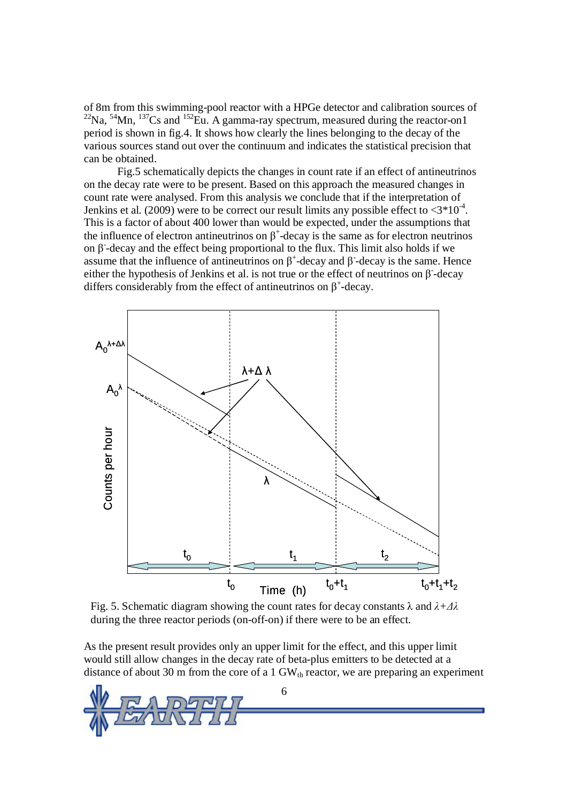of 8m from this swimming-pool reactor with a HPGe detector and calibration sources of  $^{22}$ Na,  $^{54}$ Mn,  $^{137}$ Cs and  $^{152}$ Eu. A gamma-ray spectrum, measured during the reactor-on1 period is shown in fig.4. It shows how clearly the lines belonging to the decay of the various sources stand out over the continuum and indicates the statistical precision that can be obtained.

Fig.5 schematically depicts the changes in count rate if an effect of antineutrinos on the decay rate were to be present. Based on this approach the measured changes in count rate were analysed. From this analysis we conclude that if the interpretation of Jenkins et al.  $(2009)$  were to be correct our result limits any possible effect to  $\langle 3*10^4 \rangle$ . This is a factor of about 400 lower than would be expected, under the assumptions that the influence of electron antineutrinos on  $\beta^+$ -decay is the same as for electron neutrinos on  $β$ -decay and the effect being proportional to the flux. This limit also holds if we assume that the influence of antineutrinos on  $\beta^+$ -decay and  $\beta$ -decay is the same. Hence either the hypothesis of Jenkins et al. is not true or the effect of neutrinos on  $\beta$ -decay differs considerably from the effect of antineutrinos on  $\beta^+$ -decay.



Fig. 5. Schematic diagram showing the count rates for decay constants λ and *λ+Δλ* during the three reactor periods (on-off-on) if there were to be an effect.

As the present result provides only an upper limit for the effect, and this upper limit would still allow changes in the decay rate of beta-plus emitters to be detected at a distance of about 30 m from the core of a 1  $GW<sub>th</sub>$  reactor, we are preparing an experiment

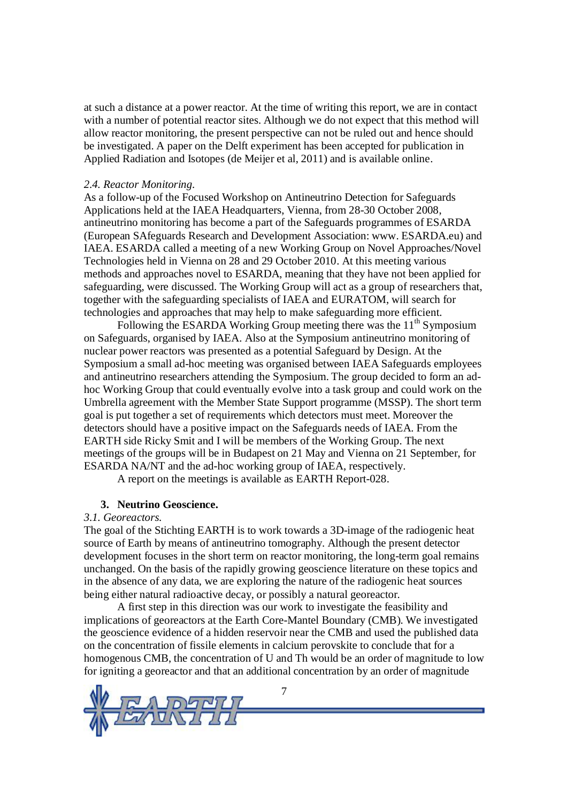at such a distance at a power reactor. At the time of writing this report, we are in contact with a number of potential reactor sites. Although we do not expect that this method will allow reactor monitoring, the present perspective can not be ruled out and hence should be investigated. A paper on the Delft experiment has been accepted for publication in Applied Radiation and Isotopes (de Meijer et al, 2011) and is available online.

### *2.4. Reactor Monitoring.*

As a follow-up of the Focused Workshop on Antineutrino Detection for Safeguards Applications held at the IAEA Headquarters, Vienna, from 28-30 October 2008, antineutrino monitoring has become a part of the Safeguards programmes of ESARDA (European SAfeguards Research and Development Association: www. ESARDA.eu) and IAEA. ESARDA called a meeting of a new Working Group on Novel Approaches/Novel Technologies held in Vienna on 28 and 29 October 2010. At this meeting various methods and approaches novel to ESARDA, meaning that they have not been applied for safeguarding, were discussed. The Working Group will act as a group of researchers that, together with the safeguarding specialists of IAEA and EURATOM, will search for technologies and approaches that may help to make safeguarding more efficient.

Following the ESARDA Working Group meeting there was the  $11<sup>th</sup>$  Symposium on Safeguards, organised by IAEA. Also at the Symposium antineutrino monitoring of nuclear power reactors was presented as a potential Safeguard by Design. At the Symposium a small ad-hoc meeting was organised between IAEA Safeguards employees and antineutrino researchers attending the Symposium. The group decided to form an adhoc Working Group that could eventually evolve into a task group and could work on the Umbrella agreement with the Member State Support programme (MSSP). The short term goal is put together a set of requirements which detectors must meet. Moreover the detectors should have a positive impact on the Safeguards needs of IAEA. From the EARTH side Ricky Smit and I will be members of the Working Group. The next meetings of the groups will be in Budapest on 21 May and Vienna on 21 September, for ESARDA NA/NT and the ad-hoc working group of IAEA, respectively.

A report on the meetings is available as EARTH Report-028.

#### **3. Neutrino Geoscience.**

## *3.1. Georeactors.*

The goal of the Stichting EARTH is to work towards a 3D-image of the radiogenic heat source of Earth by means of antineutrino tomography. Although the present detector development focuses in the short term on reactor monitoring, the long-term goal remains unchanged. On the basis of the rapidly growing geoscience literature on these topics and in the absence of any data, we are exploring the nature of the radiogenic heat sources being either natural radioactive decay, or possibly a natural georeactor.

A first step in this direction was our work to investigate the feasibility and implications of georeactors at the Earth Core-Mantel Boundary (CMB). We investigated the geoscience evidence of a hidden reservoir near the CMB and used the published data on the concentration of fissile elements in calcium perovskite to conclude that for a homogenous CMB, the concentration of U and Th would be an order of magnitude to low for igniting a georeactor and that an additional concentration by an order of magnitude

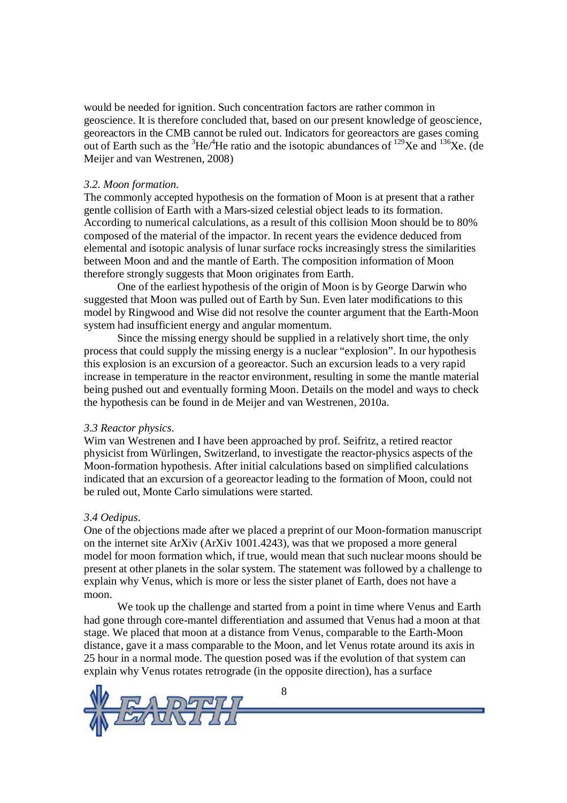would be needed for ignition. Such concentration factors are rather common in geoscience. It is therefore concluded that, based on our present knowledge of geoscience, georeactors in the CMB cannot be ruled out. Indicators for georeactors are gases coming out of Earth such as the  ${}^{3}$ He/ ${}^{4}$ He ratio and the isotopic abundances of  ${}^{129}$ Xe and  ${}^{136}$ Xe. (de Meijer and van Westrenen, 2008)

## *3.2. Moon formation.*

The commonly accepted hypothesis on the formation of Moon is at present that a rather gentle collision of Earth with a Mars-sized celestial object leads to its formation. According to numerical calculations, as a result of this collision Moon should be to 80% composed of the material of the impactor. In recent years the evidence deduced from elemental and isotopic analysis of lunar surface rocks increasingly stress the similarities between Moon and and the mantle of Earth. The composition information of Moon therefore strongly suggests that Moon originates from Earth.

One of the earliest hypothesis of the origin of Moon is by George Darwin who suggested that Moon was pulled out of Earth by Sun. Even later modifications to this model by Ringwood and Wise did not resolve the counter argument that the Earth-Moon system had insufficient energy and angular momentum.

Since the missing energy should be supplied in a relatively short time, the only process that could supply the missing energy is a nuclear "explosion". In our hypothesis this explosion is an excursion of a georeactor. Such an excursion leads to a very rapid increase in temperature in the reactor environment, resulting in some the mantle material being pushed out and eventually forming Moon. Details on the model and ways to check the hypothesis can be found in de Meijer and van Westrenen, 2010a.

## *3.3 Reactor physics.*

Wim van Westrenen and I have been approached by prof. Seifritz, a retired reactor physicist from Würlingen, Switzerland, to investigate the reactor-physics aspects of the Moon-formation hypothesis. After initial calculations based on simplified calculations indicated that an excursion of a georeactor leading to the formation of Moon, could not be ruled out, Monte Carlo simulations were started.

## *3.4 Oedipus.*

One of the objections made after we placed a preprint of our Moon-formation manuscript on the internet site ArXiv (ArXiv 1001.4243), was that we proposed a more general model for moon formation which, if true, would mean that such nuclear moons should be present at other planets in the solar system. The statement was followed by a challenge to explain why Venus, which is more or less the sister planet of Earth, does not have a moon.

We took up the challenge and started from a point in time where Venus and Earth had gone through core-mantel differentiation and assumed that Venus had a moon at that stage. We placed that moon at a distance from Venus, comparable to the Earth-Moon distance, gave it a mass comparable to the Moon, and let Venus rotate around its axis in 25 hour in a normal mode. The question posed was if the evolution of that system can explain why Venus rotates retrograde (in the opposite direction), has a surface

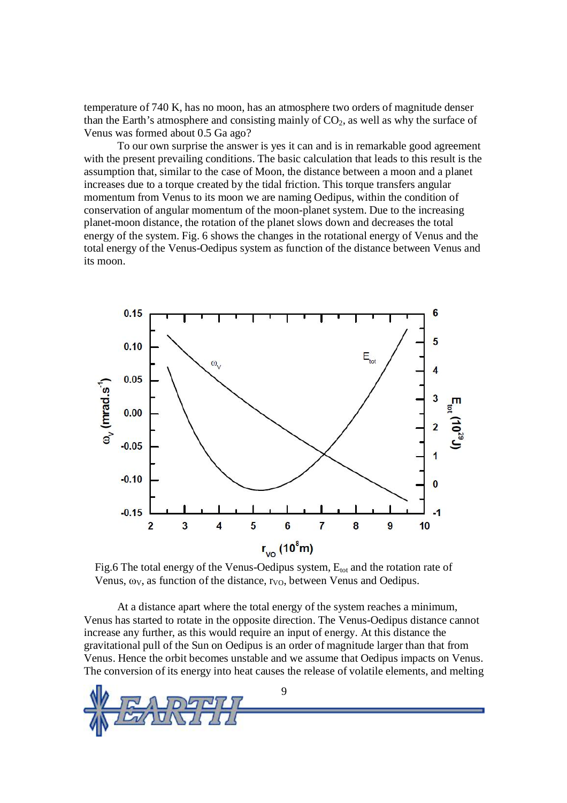temperature of 740 K, has no moon, has an atmosphere two orders of magnitude denser than the Earth's atmosphere and consisting mainly of  $CO<sub>2</sub>$ , as well as why the surface of Venus was formed about 0.5 Ga ago?

To our own surprise the answer is yes it can and is in remarkable good agreement with the present prevailing conditions. The basic calculation that leads to this result is the assumption that, similar to the case of Moon, the distance between a moon and a planet increases due to a torque created by the tidal friction. This torque transfers angular momentum from Venus to its moon we are naming Oedipus, within the condition of conservation of angular momentum of the moon-planet system. Due to the increasing planet-moon distance, the rotation of the planet slows down and decreases the total energy of the system. Fig. 6 shows the changes in the rotational energy of Venus and the total energy of the Venus-Oedipus system as function of the distance between Venus and its moon.



Fig.6 The total energy of the Venus-Oedipus system,  $E_{\text{tot}}$  and the rotation rate of Venus,  $\omega_V$ , as function of the distance,  $r_{V_O}$ , between Venus and Oedipus.

At a distance apart where the total energy of the system reaches a minimum, Venus has started to rotate in the opposite direction. The Venus-Oedipus distance cannot increase any further, as this would require an input of energy. At this distance the gravitational pull of the Sun on Oedipus is an order of magnitude larger than that from Venus. Hence the orbit becomes unstable and we assume that Oedipus impacts on Venus. The conversion of its energy into heat causes the release of volatile elements, and melting